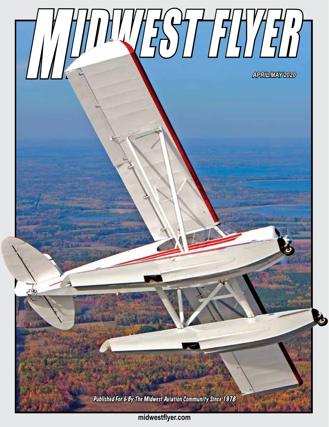

**midwestflyer.com**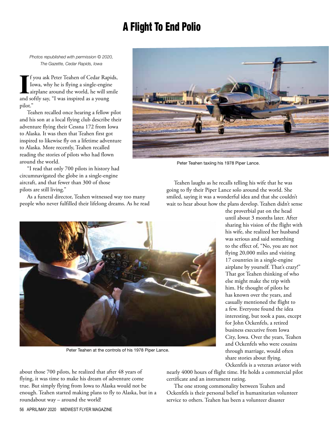# A Flight To End Polio

*Photos republished with permission © 2020, The Gazette, Cedar Rapids, Iowa*

**I** f you ask Peter Teahen of Cedar Rap Iowa, why he is flying a single-enginearplane around the world, he will sn and softly say, "I was inspired as a young f you ask Peter Teahen of Cedar Rapids, Iowa, why he is flying a single-engine airplane around the world, he will smile pilot."

Teahen recalled once hearing a fellow pilot and his son at a local flying club describe their adventure flying their Cessna 172 from Iowa to Alaska. It was then that Teahen first got inspired to likewise fly on a lifetime adventure to Alaska. More recently, Teahen recalled reading the stories of pilots who had flown around the world.

"I read that only 700 pilots in history had circumnavigated the globe in a single-engine aircraft, and that fewer than 300 of those pilots are still living."

As a funeral director, Teahen witnessed way too many people who never fulfilled their lifelong dreams. As he read



Peter Teahen taxiing his 1978 Piper Lance.

Teahen laughs as he recalls telling his wife that he was going to fly their Piper Lance solo around the world. She smiled, saying it was a wonderful idea and that she couldn't wait to hear about how the plans develop. Teahen didn't sense



Peter Teahen at the controls of his 1978 Piper Lance.

about those 700 pilots, he realized that after 48 years of flying, it was time to make his dream of adventure come true. But simply flying from Iowa to Alaska would not be enough. Teahen started making plans to fly to Alaska, but in a roundabout way – around the world!

the proverbial pat on the head until about 3 months later. After sharing his vision of the flight with his wife, she realized her husband was serious and said something to the effect of, "No, you are not flying 20,000 miles and visiting 17 countries in a single-engine airplane by yourself. That's crazy!" That got Teahen thinking of who else might make the trip with him. He thought of pilots he has known over the years, and casually mentioned the flight to a few. Everyone found the idea interesting, but took a pass, except for John Ockenfels, a retired business executive from Iowa City, Iowa. Over the years, Teahen and Ockenfels who were cousins through marriage, would often share stories about flying. Ockenfels is a veteran aviator with

nearly 4000 hours of flight time. He holds a commercial pilot certificate and an instrument rating.

The one strong commonality between Teahen and Ockenfels is their personal belief in humanitarian volunteer service to others. Teahen has been a volunteer disaster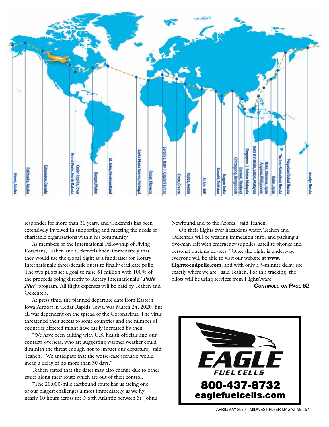

responder for more than 30 years, and Ockenfels has been extensively involved in supporting and meeting the needs of charitable organizations within his community.

As members of the International Fellowship of Flying Rotarians, Teahen and Ockenfels knew immediately that they would use the global flight as a fundraiser for Rotary International's three-decade quest to finally eradicate polio. The two pilots set a goal to raise \$1 million with 100% of the proceeds going directly to Rotary International's *"Polio Plus"* program. All flight expenses will be paid by Teahen and Ockenfels.

At press time, the planned departure date from Eastern Iowa Airport in Cedar Rapids, Iowa, was March 24, 2020, but all was dependent on the spread of the Coronavirus. The virus threatened their access to some countries and the number of countries affected might have easily increased by then.

"We have been talking with U.S. health officials and our contacts overseas, who are suggesting warmer weather could diminish the threat enough not to impact our departure," said Teahen. "We anticipate that the worse-case scenario would mean a delay of no more than 30 days."

Teahen stated that the dates may also change due to other issues along their route which are out of their control.

"The 20,000-mile eastbound route has us facing one of our biggest challenges almost immediately, as we fly nearly 10 hours across the North Atlantic between St. John's Newfoundland to the Azores," said Teahen.

On their flights over hazardous water, Teahen and Ockenfels will be wearing immersion suits, and packing a five-man raft with emergency supplies, satellite phones and personal tracking devices. "Once the flight is underway, everyone will be able to visit our website at **www. flighttoendpolio.com**, and with only a 5-minute delay, see exactly where we are," said Teahen. For this tracking, the pilots will be using services from FlightAware,

#### *Continued on Page 62*